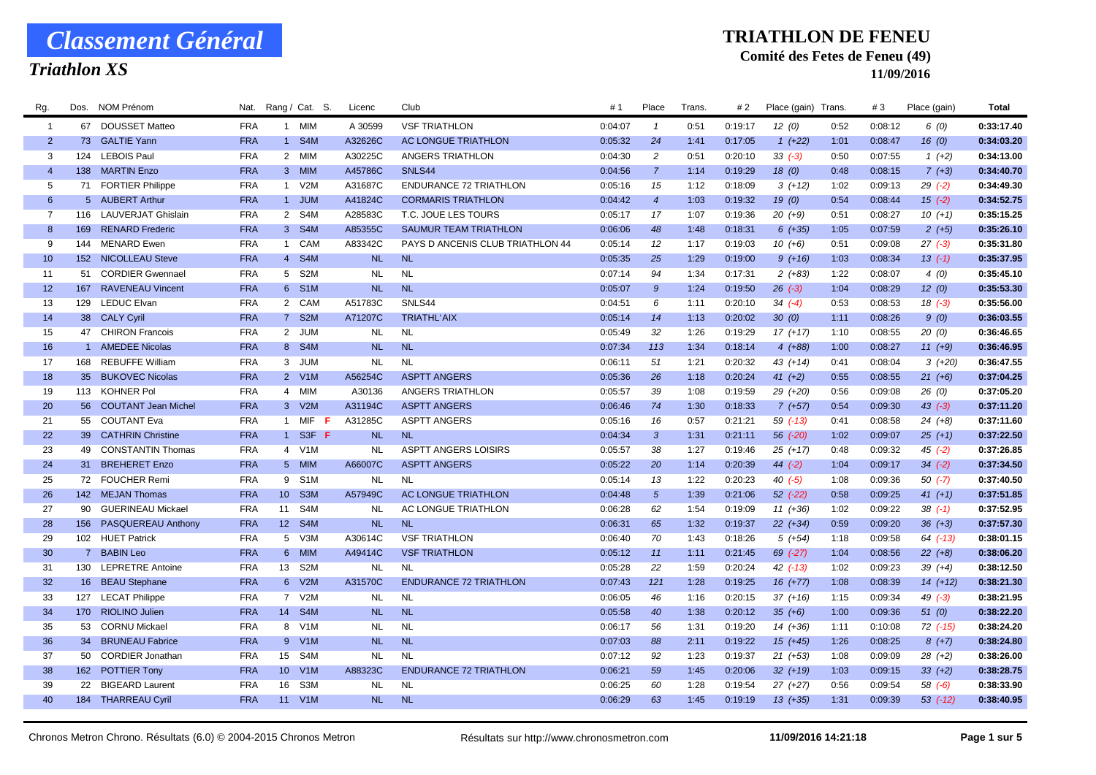## *Triathlon XS*

#### **TRIATHLON DE FENEU**

### **Comité des Fetes de Feneu (49)**

| Rg.            |     | Dos. NOM Prénom        | Nat.       |    | Rang / Cat. S. | Licenc    | Club                             | #1      | Place          | Trans. | # 2     | Place (gain) Trans. |      | #3      | Place (gain) | Total      |
|----------------|-----|------------------------|------------|----|----------------|-----------|----------------------------------|---------|----------------|--------|---------|---------------------|------|---------|--------------|------------|
| $\overline{1}$ |     | 67 DOUSSET Matteo      | <b>FRA</b> |    | 1 MIM          | A 30599   | <b>VSF TRIATHLON</b>             | 0:04:07 | $\overline{1}$ | 0:51   | 0:19:17 | 12(0)               | 0:52 | 0:08:12 | 6(0)         | 0:33:17.40 |
| $\overline{2}$ |     | 73 GALTIE Yann         | <b>FRA</b> |    | 1 S4M          | A32626C   | AC LONGUE TRIATHLON              | 0:05:32 | 24             | 1:41   | 0:17:05 | $1 (+22)$           | 1:01 | 0:08:47 | 16(0)        | 0:34:03.20 |
| 3              |     | 124 LEBOIS Paul        | <b>FRA</b> |    | 2 MIM          | A30225C   | ANGERS TRIATHLON                 | 0:04:30 | $\overline{c}$ | 0:51   | 0:20:10 | $33(-3)$            | 0:50 | 0:07:55 | $1(+2)$      | 0:34:13.00 |
| $\overline{4}$ |     | 138 MARTIN Enzo        | <b>FRA</b> |    | 3 MIM          | A45786C   | SNLS44                           | 0:04:56 | $\overline{7}$ | 1:14   | 0:19:29 | 18(0)               | 0:48 | 0:08:15 | $7(+3)$      | 0:34:40.70 |
| -5             |     | 71 FORTIER Philippe    | <b>FRA</b> |    | 1 V2M          | A31687C   | <b>ENDURANCE 72 TRIATHLON</b>    | 0:05:16 | 15             | 1:12   | 0:18:09 | $3(+12)$            | 1:02 | 0:09:13 | $29( -2)$    | 0:34:49.30 |
| 6              |     | 5 AUBERT Arthur        | <b>FRA</b> |    | 1 JUM          | A41824C   | <b>CORMARIS TRIATHLON</b>        | 0:04:42 | $\overline{4}$ | 1:03   | 0:19:32 | 19(0)               | 0:54 | 0:08:44 | $15( -2)$    | 0:34:52.75 |
| $\overline{7}$ |     | 116 LAUVERJAT Ghislain | <b>FRA</b> |    | 2 S4M          | A28583C   | T.C. JOUE LES TOURS              | 0:05:17 | 17             | 1:07   | 0:19:36 | $20(+9)$            | 0:51 | 0:08:27 | $10(+1)$     | 0:35:15.25 |
| 8              |     | 169 RENARD Frederic    | <b>FRA</b> |    | 3 S4M          | A85355C   | <b>SAUMUR TEAM TRIATHLON</b>     | 0:06:06 | 48             | 1:48   | 0:18:31 | $6(+35)$            | 1:05 | 0:07:59 | $2(+5)$      | 0:35:26.10 |
| 9              |     | 144 MENARD Ewen        | <b>FRA</b> |    | 1 CAM          | A83342C   | PAYS D ANCENIS CLUB TRIATHLON 44 | 0:05:14 | 12             | 1:17   | 0:19:03 | $10(+6)$            | 0:51 | 0:09:08 | $27(-3)$     | 0:35:31.80 |
| 10             |     | 152 NICOLLEAU Steve    | <b>FRA</b> |    | 4 S4M          | <b>NL</b> | <b>NL</b>                        | 0:05:35 | 25             | 1:29   | 0:19:00 | $9(+16)$            | 1:03 | 0:08:34 | $13( -1)$    | 0:35:37.95 |
| 11             |     | 51 CORDIER Gwennael    | <b>FRA</b> |    | 5 S2M          | <b>NL</b> | <b>NL</b>                        | 0:07:14 | 94             | 1:34   | 0:17:31 | $2(+83)$            | 1:22 | 0:08:07 | 4(0)         | 0:35:45.10 |
| 12             |     | 167 RAVENEAU Vincent   | <b>FRA</b> |    | 6 S1M          | <b>NL</b> | <b>NL</b>                        | 0:05:07 | 9              | 1:24   | 0:19:50 | $26$ $(-3)$         | 1:04 | 0:08:29 | 12(0)        | 0:35:53.30 |
| 13             |     | 129 LEDUC Elvan        | <b>FRA</b> |    | 2 CAM          | A51783C   | SNLS44                           | 0:04:51 | 6              | 1:11   | 0:20:10 | $34 (-4)$           | 0:53 | 0:08:53 | $18( -3)$    | 0:35:56.00 |
| 14             |     | 38 CALY Cyril          | <b>FRA</b> |    | 7 S2M          | A71207C   | <b>TRIATHL'AIX</b>               | 0:05:14 | 14             | 1:13   | 0:20:02 | 30(0)               | 1:11 | 0:08:26 | 9(0)         | 0:36:03.55 |
| 15             |     | 47 CHIRON Francois     | <b>FRA</b> |    | 2 JUM          | <b>NL</b> | <b>NL</b>                        | 0:05:49 | 32             | 1:26   | 0:19:29 | $17(+17)$           | 1:10 | 0:08:55 | 20(0)        | 0:36:46.65 |
| 16             |     | 1 AMEDEE Nicolas       | <b>FRA</b> |    | 8 S4M          | <b>NL</b> | <b>NL</b>                        | 0:07:34 | 113            | 1:34   | 0:18:14 | $4(+88)$            | 1:00 | 0:08:27 | $11 (+9)$    | 0:36:46.95 |
| 17             | 168 | <b>REBUFFE William</b> | <b>FRA</b> |    | 3 JUM          | <b>NL</b> | <b>NL</b>                        | 0:06:11 | 51             | 1:21   | 0:20:32 | $43 (+14)$          | 0:41 | 0:08:04 | $3(+20)$     | 0:36:47.55 |
| 18             | 35  | <b>BUKOVEC Nicolas</b> | <b>FRA</b> |    | 2 V1M          | A56254C   | <b>ASPTT ANGERS</b>              | 0:05:36 | 26             | 1:18   | 0:20:24 | $41 (+2)$           | 0:55 | 0:08:55 | $21 (+6)$    | 0:37:04.25 |
| 19             |     | 113 KOHNER Pol         | <b>FRA</b> |    | 4 MIM          | A30136    | ANGERS TRIATHLON                 | 0:05:57 | 39             | 1:08   | 0:19:59 | $29(+20)$           | 0:56 | 0:09:08 | 26(0)        | 0:37:05.20 |
| 20             |     | 56 COUTANT Jean Michel | <b>FRA</b> |    | 3 V2M          | A31194C   | <b>ASPTT ANGERS</b>              | 0:06:46 | 74             | 1:30   | 0:18:33 | $7(+57)$            | 0:54 | 0:09:30 | $43(-3)$     | 0:37:11.20 |
| 21             |     | 55 COUTANT Eva         | <b>FRA</b> |    | 1 MIF $F$      | A31285C   | <b>ASPTT ANGERS</b>              | 0:05:16 | 16             | 0:57   | 0:21:21 | $59$ $(-13)$        | 0:41 | 0:08:58 | $24 (+8)$    | 0:37:11.60 |
| 22             |     | 39 CATHRIN Christine   | <b>FRA</b> |    | 1 S3F F        | <b>NL</b> | <b>NL</b>                        | 0:04:34 | $\mathbf{3}$   | 1:31   | 0:21:11 | 56 (-20)            | 1:02 | 0:09:07 | $25 (+1)$    | 0:37:22.50 |
| 23             |     | 49 CONSTANTIN Thomas   | <b>FRA</b> |    | 4 V1M          | <b>NL</b> | <b>ASPTT ANGERS LOISIRS</b>      | 0:05:57 | 38             | 1:27   | 0:19:46 | $25(+17)$           | 0:48 | 0:09:32 | $45$ (-2)    | 0:37:26.85 |
| 24             |     | 31 BREHERET Enzo       | <b>FRA</b> |    | 5 MIM          | A66007C   | <b>ASPTT ANGERS</b>              | 0:05:22 | 20             | 1:14   | 0:20:39 | $44 (-2)$           | 1:04 | 0:09:17 | $34(-2)$     | 0:37:34.50 |
| 25             |     | 72 FOUCHER Remi        | <b>FRA</b> |    | 9 S1M          | <b>NL</b> | <b>NL</b>                        | 0:05:14 | 13             | 1:22   | 0:20:23 | $40( -5)$           | 1:08 | 0:09:36 | $50( -7)$    | 0:37:40.50 |
| 26             |     | 142 MEJAN Thomas       | <b>FRA</b> |    | 10 S3M         | A57949C   | AC LONGUE TRIATHLON              | 0:04:48 | $\sqrt{5}$     | 1:39   | 0:21:06 | $52$ $(-22)$        | 0:58 | 0:09:25 | 41 $(+1)$    | 0:37:51.85 |
| 27             |     | 90 GUERINEAU Mickael   | <b>FRA</b> | 11 | S4M            | <b>NL</b> | AC LONGUE TRIATHLON              | 0:06:28 | 62             | 1:54   | 0:19:09 | $11 (+36)$          | 1:02 | 0:09:22 | $38$ $(-1)$  | 0:37:52.95 |
| 28             |     | 156 PASQUEREAU Anthony | <b>FRA</b> |    | 12 S4M         | <b>NL</b> | <b>NL</b>                        | 0:06:31 | 65             | 1:32   | 0:19:37 | $22 (+34)$          | 0:59 | 0:09:20 | $36 (+3)$    | 0:37:57.30 |
| 29             |     | 102 HUET Patrick       | <b>FRA</b> |    | 5 V3M          | A30614C   | <b>VSF TRIATHLON</b>             | 0:06:40 | 70             | 1:43   | 0:18:26 | $5(+54)$            | 1:18 | 0:09:58 | 64 (-13)     | 0:38:01.15 |
| 30             |     | 7 BABIN Leo            | <b>FRA</b> |    | 6 MIM          | A49414C   | <b>VSF TRIATHLON</b>             | 0:05:12 | 11             | 1:11   | 0:21:45 | 69 (-27)            | 1:04 | 0:08:56 | $22(+8)$     | 0:38:06.20 |
| 31             |     | 130 LEPRETRE Antoine   | <b>FRA</b> |    | 13 S2M         | <b>NL</b> | <b>NL</b>                        | 0:05:28 | 22             | 1:59   | 0:20:24 | $42$ $(-13)$        | 1:02 | 0:09:23 | $39 (+4)$    | 0:38:12.50 |
| 32             |     | 16 BEAU Stephane       | <b>FRA</b> |    | 6 V2M          | A31570C   | <b>ENDURANCE 72 TRIATHLON</b>    | 0:07:43 | 121            | 1:28   | 0:19:25 | $16 (+77)$          | 1:08 | 0:08:39 | $14(+12)$    | 0:38:21.30 |
| 33             |     | 127 LECAT Philippe     | <b>FRA</b> |    | 7 V2M          | <b>NL</b> | <b>NL</b>                        | 0:06:05 | 46             | 1:16   | 0:20:15 | $37 (+16)$          | 1:15 | 0:09:34 | $49$ $(-3)$  | 0:38:21.95 |
| 34             |     | 170 RIOLINO Julien     | <b>FRA</b> |    | 14 S4M         | <b>NL</b> | <b>NL</b>                        | 0:05:58 | 40             | 1:38   | 0:20:12 | $35 (+6)$           | 1:00 | 0:09:36 | 51(0)        | 0:38:22.20 |
| 35             |     | 53 CORNU Mickael       | <b>FRA</b> |    | 8 V1M          | <b>NL</b> | <b>NL</b>                        | 0:06:17 | 56             | 1:31   | 0:19:20 | 14 (+36)            | 1:11 | 0:10:08 | 72 (-15)     | 0:38:24.20 |
| 36             |     | 34 BRUNEAU Fabrice     | <b>FRA</b> |    | 9 V1M          | <b>NL</b> | <b>NL</b>                        | 0:07:03 | 88             | 2:11   | 0:19:22 | $15(+45)$           | 1:26 | 0:08:25 | $8(+7)$      | 0:38:24.80 |
| 37             |     | 50 CORDIER Jonathan    | <b>FRA</b> | 15 | S4M            | <b>NL</b> | <b>NL</b>                        | 0:07:12 | 92             | 1:23   | 0:19:37 | $21 (+53)$          | 1:08 | 0:09:09 | $28(+2)$     | 0:38:26.00 |
| 38             |     | 162 POTTIER Tony       | <b>FRA</b> |    | 10 V1M         | A88323C   | <b>ENDURANCE 72 TRIATHLON</b>    | 0:06:21 | 59             | 1:45   | 0:20:06 | $32 (+19)$          | 1:03 | 0:09:15 | $33 (+2)$    | 0:38:28.75 |
| 39             | 22  | <b>BIGEARD Laurent</b> | <b>FRA</b> | 16 | S3M            | <b>NL</b> | <b>NL</b>                        | 0:06:25 | 60             | 1:28   | 0:19:54 | $27 (+27)$          | 0:56 | 0:09:54 | $58( -6)$    | 0:38:33.90 |
| 40             |     | 184 THARREAU Cyril     | <b>FRA</b> |    | 11 V1M         | <b>NL</b> | <b>NL</b>                        | 0:06:29 | 63             | 1:45   | 0:19:19 | $13(+35)$           | 1:31 | 0:09:39 | $53$ $(-12)$ | 0:38:40.95 |
|                |     |                        |            |    |                |           |                                  |         |                |        |         |                     |      |         |              |            |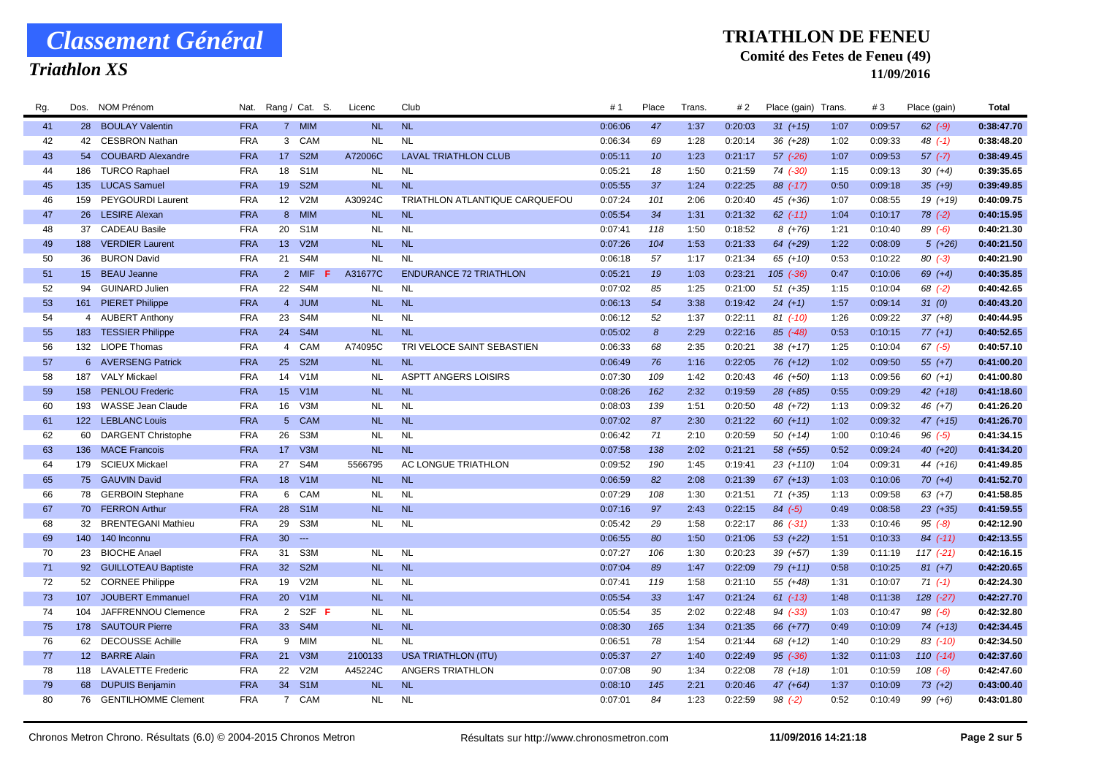## *Triathlon XS*

#### **TRIATHLON DE FENEU**

### **Comité des Fetes de Feneu (49)**

| Rg. | Dos. | NOM Prénom                | Nat.                     |                 | Rang / Cat. S.    | Licenc    | Club                           | #1      | Place                 | <b>Trans</b> | # 2     | Place (gain) Trans. |      | #3      | Place (gain)  | Total      |
|-----|------|---------------------------|--------------------------|-----------------|-------------------|-----------|--------------------------------|---------|-----------------------|--------------|---------|---------------------|------|---------|---------------|------------|
| 41  |      | 28 BOULAY Valentin        | <b>FRA</b>               |                 | 7 MIM             | <b>NL</b> | <b>NL</b>                      | 0:06:06 | 47                    | 1:37         | 0:20:03 | $31 (+15)$          | 1:07 | 0:09:57 | $62$ $(-9)$   | 0:38:47.70 |
| 42  |      | 42 CESBRON Nathan         | <b>FRA</b>               |                 | 3 CAM             | <b>NL</b> | <b>NL</b>                      | 0:06:34 | 69                    | 1:28         | 0:20:14 | $36 (+28)$          | 1:02 | 0:09:33 | $48$ $(-1)$   | 0:38:48.20 |
| 43  |      | 54 COUBARD Alexandre      | <b>FRA</b>               |                 | 17 S2M            | A72006C   | <b>LAVAL TRIATHLON CLUB</b>    | 0:05:11 | 10                    | 1:23         | 0:21:17 | $57$ $(-26)$        | 1:07 | 0:09:53 | $57$ $(-7)$   | 0:38:49.45 |
| 44  |      | 186 TURCO Raphael         | <b>FRA</b>               | 18              | S <sub>1</sub> M  | <b>NL</b> | <b>NL</b>                      | 0:05:21 | 18                    | 1:50         | 0:21:59 | 74 (-30)            | 1:15 | 0:09:13 | $30 (+4)$     | 0:39:35.65 |
| 45  |      | 135 LUCAS Samuel          | <b>FRA</b>               | 19              | S <sub>2</sub> M  | <b>NL</b> | <b>NL</b>                      | 0:05:55 | 37                    | 1:24         | 0:22:25 | $88$ $(-17)$        | 0:50 | 0:09:18 | $35(+9)$      | 0:39:49.85 |
| 46  | 159  | <b>PEYGOURDI Laurent</b>  | <b>FRA</b>               | 12              | V2M               | A30924C   | TRIATHLON ATLANTIQUE CARQUEFOU | 0:07:24 | 101                   | 2:06         | 0:20:40 | 45 (+36)            | 1:07 | 0:08:55 | $19(+19)$     | 0:40:09.75 |
| 47  |      | 26 LESIRE Alexan          | <b>FRA</b>               | 8 <sup>2</sup>  | <b>MIM</b>        | <b>NL</b> | <b>NL</b>                      | 0:05:54 | 34                    | 1:31         | 0:21:32 | $62$ $(-11)$        | 1:04 | 0:10:17 | $78$ $(-2)$   | 0:40:15.95 |
| 48  |      | 37 CADEAU Basile          | <b>FRA</b>               |                 | 20 S1M            | <b>NL</b> | <b>NL</b>                      | 0:07:41 | 118                   | 1:50         | 0:18:52 | $8(+76)$            | 1:21 | 0:10:40 | $89( -6)$     | 0:40:21.30 |
| 49  |      | 188 VERDIER Laurent       | <b>FRA</b>               | 13 <sup>°</sup> | V2M               | <b>NL</b> | <b>NL</b>                      | 0:07:26 | 104                   | 1:53         | 0:21:33 | 64 (+29)            | 1:22 | 0:08:09 | $5(+26)$      | 0:40:21.50 |
| 50  |      | 36 BURON David            | <b>FRA</b>               | 21              | S4M               | <b>NL</b> | <b>NL</b>                      | 0:06:18 | 57                    | 1:17         | 0:21:34 | $65(+10)$           | 0:53 | 0:10:22 | $80( -3)$     | 0:40:21.90 |
| 51  |      | 15 BEAU Jeanne            | <b>FRA</b>               | $2^{\circ}$     | <b>MIF</b><br>-F. | A31677C   | <b>ENDURANCE 72 TRIATHLON</b>  | 0:05:21 | 19                    | 1:03         | 0:23:21 | $105$ $(-36)$       | 0:47 | 0:10:06 | $69 (+4)$     | 0:40:35.85 |
| 52  | 94   | <b>GUINARD Julien</b>     | <b>FRA</b>               | 22              | S4M               | <b>NL</b> | <b>NL</b>                      | 0:07:02 | 85                    | 1:25         | 0:21:00 | $51 (+35)$          | 1:15 | 0:10:04 | $68$ $(-2)$   | 0:40:42.65 |
| 53  |      | 161 PIERET Philippe       | <b>FRA</b>               |                 | 4 JUM             | <b>NL</b> | <b>NL</b>                      | 0:06:13 | 54                    | 3:38         | 0:19:42 | $24 (+1)$           | 1:57 | 0:09:14 | 31(0)         | 0:40:43.20 |
| 54  |      | 4 AUBERT Anthony          | <b>FRA</b>               | 23              | S4M               | <b>NL</b> | <b>NL</b>                      | 0:06:12 | 52                    | 1:37         | 0:22:11 | $81$ (-10)          | 1:26 | 0:09:22 | $37(+8)$      | 0:40:44.95 |
| 55  |      | 183 TESSIER Philippe      | <b>FRA</b>               | 24              | S <sub>4</sub> M  | NL        | <b>NL</b>                      | 0:05:02 | $\boldsymbol{\delta}$ | 2:29         | 0:22:16 | $85$ $(-48)$        | 0:53 | 0:10:15 | $77(+1)$      | 0:40:52.65 |
| 56  |      | 132 LIOPE Thomas          | <b>FRA</b>               | $\overline{4}$  | CAM               | A74095C   | TRI VELOCE SAINT SEBASTIEN     | 0:06:33 | 68                    | 2:35         | 0:20:21 | $38(+17)$           | 1:25 | 0:10:04 | $67$ $(-5)$   | 0:40:57.10 |
| 57  |      | 6 AVERSENG Patrick        | <b>FRA</b>               | 25              | S <sub>2</sub> M  | <b>NL</b> | <b>NL</b>                      | 0:06:49 | 76                    | 1:16         | 0:22:05 | $76(+12)$           | 1:02 | 0:09:50 | $55(+7)$      | 0:41:00.20 |
| 58  |      | 187 VALY Mickael          | <b>FRA</b>               | 14              | V <sub>1</sub> M  | <b>NL</b> | <b>ASPTT ANGERS LOISIRS</b>    | 0:07:30 | 109                   | 1:42         | 0:20:43 | 46 (+50)            | 1:13 | 0:09:56 | $60 (+1)$     | 0:41:00.80 |
| 59  |      | 158 PENLOU Frederic       | <b>FRA</b>               | 15 <sub>1</sub> | V1M               | <b>NL</b> | <b>NL</b>                      | 0:08:26 | 162                   | 2:32         | 0:19:59 | $28 (+85)$          | 0:55 | 0:09:29 | 42 $(+18)$    | 0:41:18.60 |
| 60  |      | 193 WASSE Jean Claude     | <b>FRA</b>               | 16              | V3M               | <b>NL</b> | <b>NL</b>                      | 0:08:03 | 139                   | 1:51         | 0:20:50 | 48 (+72)            | 1:13 | 0:09:32 | 46 (+7)       | 0:41:26.20 |
| 61  |      | 122 LEBLANC Louis         | <b>FRA</b>               | 5 <sup>5</sup>  | <b>CAM</b>        | <b>NL</b> | <b>NL</b>                      | 0:07:02 | 87                    | 2:30         | 0:21:22 | $60 (+11)$          | 1:02 | 0:09:32 | $47 (+15)$    | 0:41:26.70 |
| 62  | 60   | <b>DARGENT Christophe</b> | <b>FRA</b>               | 26              | S3M               | <b>NL</b> | <b>NL</b>                      | 0:06:42 | 71                    | 2:10         | 0:20:59 | $50(+14)$           | 1:00 | 0:10:46 | $96( -5)$     | 0:41:34.15 |
| 63  | 136  | <b>MACE Francois</b>      | <b>FRA</b>               | 17              | V3M               | <b>NL</b> | <b>NL</b>                      | 0:07:58 | 138                   | 2:02         | 0:21:21 | 58 (+55)            | 0:52 | 0:09:24 | 40 (+20)      | 0:41:34.20 |
| 64  |      | 179 SCIEUX Mickael        | <b>FRA</b>               | 27              | S4M               | 5566795   | AC LONGUE TRIATHLON            | 0:09:52 | 190                   | 1:45         | 0:19:41 | $23(+110)$          | 1:04 | 0:09:31 | 44 (+16)      | 0:41:49.85 |
| 65  |      | 75 GAUVIN David           | <b>FRA</b>               | 18              | V1M               | NL        | <b>NL</b>                      | 0:06:59 | 82                    | 2:08         | 0:21:39 | $67 (+13)$          | 1:03 | 0:10:06 | $70(+4)$      | 0:41:52.70 |
| 66  |      | 78 GERBOIN Stephane       | <b>FRA</b>               | 6               | CAM               | <b>NL</b> | <b>NL</b>                      | 0:07:29 | 108                   | 1:30         | 0:21:51 | $71 (+35)$          | 1:13 | 0:09:58 | $63 (+7)$     | 0:41:58.85 |
| 67  |      | 70 FERRON Arthur          | <b>FRA</b>               | 28              | S <sub>1</sub> M  | <b>NL</b> | <b>NL</b>                      | 0:07:16 | 97                    | 2:43         | 0:22:15 | $84 (-5)$           | 0:49 | 0:08:58 | $23(+35)$     | 0:41:59.55 |
| 68  | 32   | <b>BRENTEGANI Mathieu</b> | <b>FRA</b>               | 29              | S <sub>3</sub> M  | <b>NL</b> | <b>NL</b>                      | 0:05:42 | 29                    | 1:58         | 0:22:17 | $86$ $(-31)$        | 1:33 | 0:10:46 | $95( -8)$     | 0:42:12.90 |
| 69  |      | 140 140 Inconnu           | <b>FRA</b>               | 30 <sup>°</sup> | $\sim$            |           |                                | 0:06:55 | 80                    | 1:50         | 0:21:06 | $53(+22)$           | 1:51 | 0:10:33 | $84$ $(-11)$  | 0:42:13.55 |
| 70  |      | 23 BIOCHE Anael           | <b>FRA</b>               | 31              | S <sub>3</sub> M  | NL        | <b>NL</b>                      | 0:07:27 | 106                   | 1:30         | 0:20:23 | $39 (+57)$          | 1:39 | 0:11:19 | 117 (-21)     | 0:42:16.15 |
| 71  |      | 92 GUILLOTEAU Baptiste    | <b>FRA</b>               | 32 <sup>2</sup> | S <sub>2M</sub>   | <b>NL</b> | <b>NL</b>                      | 0:07:04 | 89                    | 1:47         | 0:22:09 | 79 (+11)            | 0:58 | 0:10:25 | $81 (+7)$     | 0:42:20.65 |
| 72  |      | 52 CORNEE Philippe        | <b>FRA</b>               | 19              | V2M               | <b>NL</b> | <b>NL</b>                      | 0:07:41 | 119                   | 1:58         | 0:21:10 | 55 (+48)            | 1:31 | 0:10:07 | $71( -1)$     | 0:42:24.30 |
| 73  | 107  | <b>JOUBERT Emmanuel</b>   | <b>FRA</b>               | 20              | V1M               | <b>NL</b> | <b>NL</b>                      | 0:05:54 | 33                    | 1:47         | 0:21:24 | $61 (-13)$          | 1:48 | 0:11:38 | $128$ $(-27)$ | 0:42:27.70 |
| 74  | 104  | JAFFRENNOU Clemence       | <b>FRA</b>               |                 | 2 S2F F           | <b>NL</b> | <b>NL</b>                      | 0:05:54 | 35                    | 2:02         | 0:22:48 | $94$ $(-33)$        | 1:03 | 0:10:47 | $98$ $(-6)$   | 0:42:32.80 |
| 75  |      | 178 SAUTOUR Pierre        | <b>FRA</b>               |                 | 33 S4M            | <b>NL</b> | <b>NL</b>                      | 0:08:30 | 165                   | 1:34         | 0:21:35 | 66 (+77)            | 0:49 | 0:10:09 | $74(+13)$     | 0:42:34.45 |
| 76  | 62   | <b>DECOUSSE Achille</b>   | <b>FRA</b>               | 9               | MIM               | <b>NL</b> | <b>NL</b>                      | 0:06:51 | 78                    | 1:54         | 0:21:44 | 68 (+12)            | 1:40 | 0:10:29 | $83$ (-10)    | 0:42:34.50 |
| 77  |      | 12 BARRE Alain            | <b>FRA</b>               | 21              | V <sub>3</sub> M  | 2100133   | <b>USA TRIATHLON (ITU)</b>     | 0:05:37 | 27                    | 1:40         | 0:22:49 | $95$ $(-36)$        | 1:32 | 0:11:03 | $110(-14)$    | 0:42:37.60 |
| 78  |      | 118 LAVALETTE Frederic    | <b>FRA</b>               | 22              | V2M               | A45224C   | ANGERS TRIATHLON               | 0:07:08 | 90                    | 1:34         | 0:22:08 | 78 (+18)            | 1:01 | 0:10:59 | $108$ $(-6)$  | 0:42:47.60 |
| 79  |      | 68 DUPUIS Benjamin        | <b>FRA</b><br><b>FRA</b> | 34              | S <sub>1</sub> M  | <b>NL</b> | <b>NL</b><br><b>NL</b>         | 0:08:10 | 145<br>84             | 2:21         | 0:20:46 | $47 (+64)$          | 1:37 | 0:10:09 | $73 (+2)$     | 0:43:00.40 |
| 80  |      | 76 GENTILHOMME Clement    |                          |                 | 7 CAM             | <b>NL</b> |                                | 0:07:01 |                       | 1:23         | 0:22:59 | $98( -2)$           | 0:52 | 0:10:49 | $99 (+6)$     | 0:43:01.80 |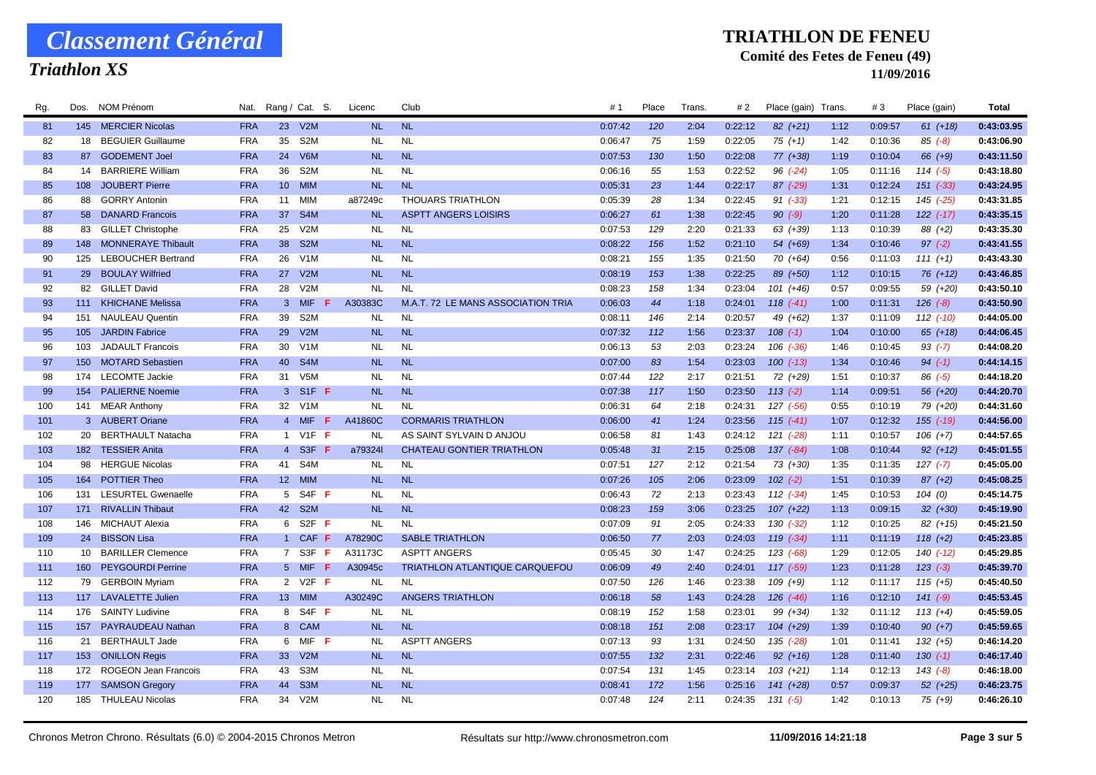## *Triathlon XS*

#### **TRIATHLON DE FENEU**

### **Comité des Fetes de Feneu (49)**

| Rg. | Dos.<br>NOM Prenom               | Nat.                          | Rang / Cat. S.                     | Licenc    | Club                                  | #1      | Place | <b>Trans</b> | # 2     | Place (gain) Trans |      | #3      | Place (gain)  | Total      |
|-----|----------------------------------|-------------------------------|------------------------------------|-----------|---------------------------------------|---------|-------|--------------|---------|--------------------|------|---------|---------------|------------|
| 81  | 145 MERCIER Nicolas              | <b>FRA</b>                    | 23 V2M                             | <b>NL</b> | <b>NL</b>                             | 0:07:42 | 120   | 2:04         | 0:22:12 | $82 (+21)$         | 1:12 | 0:09:57 | $61 (+18)$    | 0:43:03.95 |
| 82  | 18 BEGUIER Guillaume             | 35<br><b>FRA</b>              | S <sub>2</sub> M                   | <b>NL</b> | <b>NL</b>                             | 0:06:47 | 75    | 1:59         | 0:22:05 | $75(+1)$           | 1:42 | 0:10:36 | $85(-8)$      | 0:43:06.90 |
| 83  | <b>GODEMENT Joel</b><br>87       | 24<br><b>FRA</b>              | V6M                                | <b>NL</b> | <b>NL</b>                             | 0:07:53 | 130   | 1:50         | 0:22:08 | 77 (+38)           | 1:19 | 0:10:04 | 66 (+9)       | 0:43:11.50 |
| 84  | <b>BARRIERE William</b><br>14    | 36<br><b>FRA</b>              | S <sub>2</sub> M                   | <b>NL</b> | <b>NL</b>                             | 0:06:16 | 55    | 1:53         | 0:22:52 | $96$ $(-24)$       | 1:05 | 0:11:16 | $114(-5)$     | 0:43:18.80 |
| 85  | 108 JOUBERT Pierre               | <b>FRA</b><br>10 <sup>°</sup> | <b>MIM</b>                         | <b>NL</b> | <b>NL</b>                             | 0:05:31 | 23    | 1:44         | 0:22:17 | $87$ (-29)         | 1:31 | 0:12:24 | $151$ $(-33)$ | 0:43:24.95 |
| 86  | <b>GORRY Antonin</b><br>88       | <b>FRA</b><br>11              | MIM                                | a87249c   | <b>THOUARS TRIATHLON</b>              | 0:05:39 | 28    | 1:34         | 0:22:45 | $91 (-33)$         | 1:21 | 0:12:15 | 145 (-25)     | 0:43:31.85 |
| 87  | 58 DANARD Francois               | <b>FRA</b><br>37              | S <sub>4</sub> M                   | <b>NL</b> | <b>ASPTT ANGERS LOISIRS</b>           | 0:06:27 | 61    | 1:38         | 0:22:45 | $90 (-9)$          | 1:20 | 0:11:28 | 122 (-17)     | 0:43:35.15 |
| 88  | 83 GILLET Christophe             | <b>FRA</b><br>25              | V2M                                | <b>NL</b> | <b>NL</b>                             | 0:07:53 | 129   | 2:20         | 0:21:33 | 63 (+39)           | 1:13 | 0:10:39 | 88 (+2)       | 0:43:35.30 |
| 89  | 148 MONNERAYE Thibault           | <b>FRA</b><br>38              | S <sub>2</sub> M                   | <b>NL</b> | <b>NL</b>                             | 0:08:22 | 156   | 1:52         | 0:21:10 | 54 (+69)           | 1:34 | 0:10:46 | $97(-2)$      | 0:43:41.55 |
| 90  | 125 LEBOUCHER Bertrand           | 26<br><b>FRA</b>              | V <sub>1</sub> M                   | <b>NL</b> | <b>NL</b>                             | 0:08:21 | 155   | 1:35         | 0:21:50 | 70 (+64)           | 0:56 | 0:11:03 | $111 (+1)$    | 0:43:43.30 |
| 91  | 29 BOULAY Wilfried               | <b>FRA</b><br>27              | V2M                                | <b>NL</b> | <b>NL</b>                             | 0:08:19 | 153   | 1:38         | 0:22:25 | 89 (+50)           | 1:12 | 0:10:15 | $76(+12)$     | 0:43:46.85 |
| 92  | 82 GILLET David                  | 28<br><b>FRA</b>              | V2M                                | <b>NL</b> | <b>NL</b>                             | 0:08:23 | 158   | 1:34         | 0:23:04 | $101 (+46)$        | 0:57 | 0:09:55 | 59 (+20)      | 0:43:50.10 |
| 93  | 111 KHICHANE Melissa             | <b>FRA</b>                    | 3 MIF<br>- 6                       | A30383C   | M.A.T. 72 LE MANS ASSOCIATION TRIA    | 0:06:03 | 44    | 1:18         | 0:24:01 | $118$ $(-41)$      | 1:00 | 0:11:31 | $126 (-8)$    | 0:43:50.90 |
| 94  | <b>NAULEAU Quentin</b><br>151    | 39<br><b>FRA</b>              | S <sub>2</sub> M                   | <b>NL</b> | <b>NL</b>                             | 0:08:11 | 146   | 2:14         | 0:20:57 | 49 (+62)           | 1:37 | 0:11:09 | $112$ $(-10)$ | 0:44:05.00 |
| 95  | <b>JARDIN Fabrice</b><br>105     | 29<br><b>FRA</b>              | V2M                                | NL        | <b>NL</b>                             | 0:07:32 | 112   | 1:56         | 0:23:37 | $108$ $(-1)$       | 1:04 | 0:10:00 | $65 (+18)$    | 0:44:06.45 |
| 96  | <b>JADAULT Francois</b><br>103   | 30<br><b>FRA</b>              | V1M                                | <b>NL</b> | <b>NL</b>                             | 0:06:13 | 53    | 2:03         | 0:23:24 | $106$ $(-36)$      | 1:46 | 0:10:45 | $93$ (-7)     | 0:44:08.20 |
| 97  | <b>MOTARD Sebastien</b><br>150   | <b>FRA</b><br>40              | S <sub>4</sub> M                   | <b>NL</b> | <b>NL</b>                             | 0:07:00 | 83    | 1:54         | 0:23:03 | $100 (-13)$        | 1:34 | 0:10:46 | $94 (-1)$     | 0:44:14.15 |
| 98  | 174 LECOMTE Jackie               | <b>FRA</b><br>31              | V <sub>5</sub> M                   | <b>NL</b> | <b>NL</b>                             | 0:07:44 | 122   | 2:17         | 0:21:51 | 72 (+29)           | 1:51 | 0:10:37 | $86( -5)$     | 0:44:18.20 |
| 99  | 154 PALIERNE Noemie              | <b>FRA</b>                    | 3 S1F <b>F</b>                     | <b>NL</b> | <b>NL</b>                             | 0:07:38 | 117   | 1:50         | 0:23:50 | $113(-2)$          | 1:14 | 0:09:51 | 56 (+20)      | 0:44:20.70 |
| 100 | 141 MEAR Anthony                 | <b>FRA</b>                    | 32<br>V1M                          | <b>NL</b> | <b>NL</b>                             | 0:06:31 | 64    | 2:18         | 0:24:31 | 127 (-56)          | 0:55 | 0:10:19 | 79 (+20)      | 0:44:31.60 |
| 101 | 3 AUBERT Oriane                  | <b>FRA</b>                    | 4 MIF F                            | A41860C   | <b>CORMARIS TRIATHLON</b>             | 0:06:00 | 41    | 1:24         | 0:23:56 | $115(-41)$         | 1:07 | 0:12:32 | $155$ $(-19)$ | 0:44:56.00 |
| 102 | 20<br><b>BERTHAULT Natacha</b>   | <b>FRA</b>                    | 1 V1F F                            | <b>NL</b> | AS SAINT SYLVAIN D ANJOU              | 0:06:58 | 81    | 1:43         | 0:24:12 | 121 (-28)          | 1:11 | 0:10:57 | $106 (+7)$    | 0:44:57.65 |
| 103 | 182 TESSIER Anita                | <b>FRA</b>                    | 4 S3F<br>-F                        | a79324    | <b>CHATEAU GONTIER TRIATHLON</b>      | 0:05:48 | 31    | 2:15         | 0:25:08 | $137 (-84)$        | 1:08 | 0:10:44 | $92 (+12)$    | 0:45:01.55 |
| 104 | <b>HERGUE Nicolas</b><br>98      | <b>FRA</b>                    | 41 S4M                             | <b>NL</b> | <b>NL</b>                             | 0:07:51 | 127   | 2:12         | 0:21:54 | 73 (+30)           | 1:35 | 0:11:35 | $127(-7)$     | 0:45:05.00 |
| 105 | POTTIER Theo<br>164              | <b>FRA</b>                    | 12 MIM                             | <b>NL</b> | <b>NL</b>                             | 0:07:26 | 105   | 2:06         | 0:23:09 | $102$ $(-2)$       | 1:51 | 0:10:39 | $87 (+2)$     | 0:45:08.25 |
| 106 | <b>LESURTEL Gwenaelle</b><br>131 | <b>FRA</b>                    | 5 <sup>5</sup><br>S4F F            | <b>NL</b> | <b>NL</b>                             | 0:06:43 | 72    | 2:13         | 0:23:43 | $112$ $(-34)$      | 1:45 | 0:10:53 | 104(0)        | 0:45:14.75 |
| 107 | 171 RIVALLIN Thibaut             | <b>FRA</b><br>42              | S <sub>2</sub> M                   | <b>NL</b> | NL                                    | 0:08:23 | 159   | 3:06         | 0:23:25 | $107 (+22)$        | 1:13 | 0:09:15 | $32 (+30)$    | 0:45:19.90 |
| 108 | 146 MICHAUT Alexia               | <b>FRA</b>                    | S <sub>2</sub> F <sub>F</sub><br>6 | <b>NL</b> | <b>NL</b>                             | 0:07:09 | 91    | 2:05         | 0:24:33 | $130 (-32)$        | 1:12 | 0:10:25 | $82(+15)$     | 0:45:21.50 |
| 109 | 24 BISSON Lisa                   | <b>FRA</b>                    | 1 CAF F                            | A78290C   | <b>SABLE TRIATHLON</b>                | 0:06:50 | 77    | 2:03         | 0:24:03 | $119$ $(-34)$      | 1:11 | 0:11:19 | $118 (+2)$    | 0:45:23.85 |
| 110 | 10 BARILLER Clemence             | <b>FRA</b>                    | 7 S3F <b>F</b>                     | A31173C   | <b>ASPTT ANGERS</b>                   | 0:05:45 | 30    | 1:47         | 0:24:25 | $123( -68)$        | 1:29 | 0:12:05 | $140(-12)$    | 0:45:29.85 |
| 111 | <b>PEYGOURDI Perrine</b><br>160  | <b>FRA</b>                    | 5 MIF F                            | A30945c   | <b>TRIATHLON ATLANTIQUE CARQUEFOU</b> | 0:06:09 | 49    | 2:40         | 0:24:01 | $117$ (-59)        | 1:23 | 0:11:28 | $123(-3)$     | 0:45:39.70 |
| 112 | 79 GERBOIN Myriam                | <b>FRA</b>                    | 2 V2F F                            | <b>NL</b> | <b>NL</b>                             | 0:07:50 | 126   | 1:46         | 0:23:38 | $109 (+9)$         | 1:12 | 0:11:17 | $115(+5)$     | 0:45:40.50 |
| 113 | 117 LAVALETTE Julien             | <b>FRA</b>                    | 13 <sup>7</sup><br><b>MIM</b>      | A30249C   | <b>ANGERS TRIATHLON</b>               | 0:06:18 | 58    | 1:43         | 0:24:28 | $126$ $(-46)$      | 1:16 | 0:12:10 | $141 (-9)$    | 0:45:53.45 |
| 114 | 176 SAINTY Ludivine              | <b>FRA</b>                    | 8 S4F F                            | <b>NL</b> | <b>NL</b>                             | 0:08:19 | 152   | 1:58         | 0:23:01 | 99 (+34)           | 1:32 | 0:11:12 | $113 (+4)$    | 0:45:59.05 |
| 115 | 157 PAYRAUDEAU Nathan            | <b>FRA</b>                    | 8 CAM                              | <b>NL</b> | <b>NL</b>                             | 0:08:18 | 151   | 2:08         | 0:23:17 | $104 (+29)$        | 1:39 | 0:10:40 | $90 (+7)$     | 0:45:59.65 |
| 116 | <b>BERTHAULT Jade</b><br>21      | <b>FRA</b>                    | MIF F<br>6                         | <b>NL</b> | <b>ASPTT ANGERS</b>                   | 0:07:13 | 93    | 1:31         | 0:24:50 | 135 (-28)          | 1:01 | 0:11:41 | $132 (+5)$    | 0:46:14.20 |
| 117 | 153 ONILLON Regis                | 33<br><b>FRA</b>              | V2M                                | <b>NL</b> | <b>NL</b>                             | 0:07:55 | 132   | 2:31         | 0:22:46 | $92 (+16)$         | 1:28 | 0:11:40 | $130(-1)$     | 0:46:17.40 |
| 118 | ROGEON Jean Francois<br>172      | <b>FRA</b><br>43              | S3M                                | <b>NL</b> | <b>NL</b>                             | 0:07:54 | 131   | 1:45         | 0:23:14 | $103 (+21)$        | 1:14 | 0:12:13 | $143$ $(-8)$  | 0:46:18.00 |
| 119 | 177 SAMSON Gregory               | <b>FRA</b><br>44              | S <sub>3</sub> M                   | <b>NL</b> | <b>NL</b>                             | 0:08:41 | 172   | 1:56         | 0:25:16 | $141 (+28)$        | 0:57 | 0:09:37 | $52$ $(+25)$  | 0:46:23.75 |
| 120 | 185 THULEAU Nicolas              | <b>FRA</b><br>34              | V2M                                | <b>NL</b> | <b>NL</b>                             | 0:07:48 | 124   | 2:11         | 0:24:35 | $131 (-5)$         | 1:42 | 0:10:13 | $75(+9)$      | 0:46:26.10 |
|     |                                  |                               |                                    |           |                                       |         |       |              |         |                    |      |         |               |            |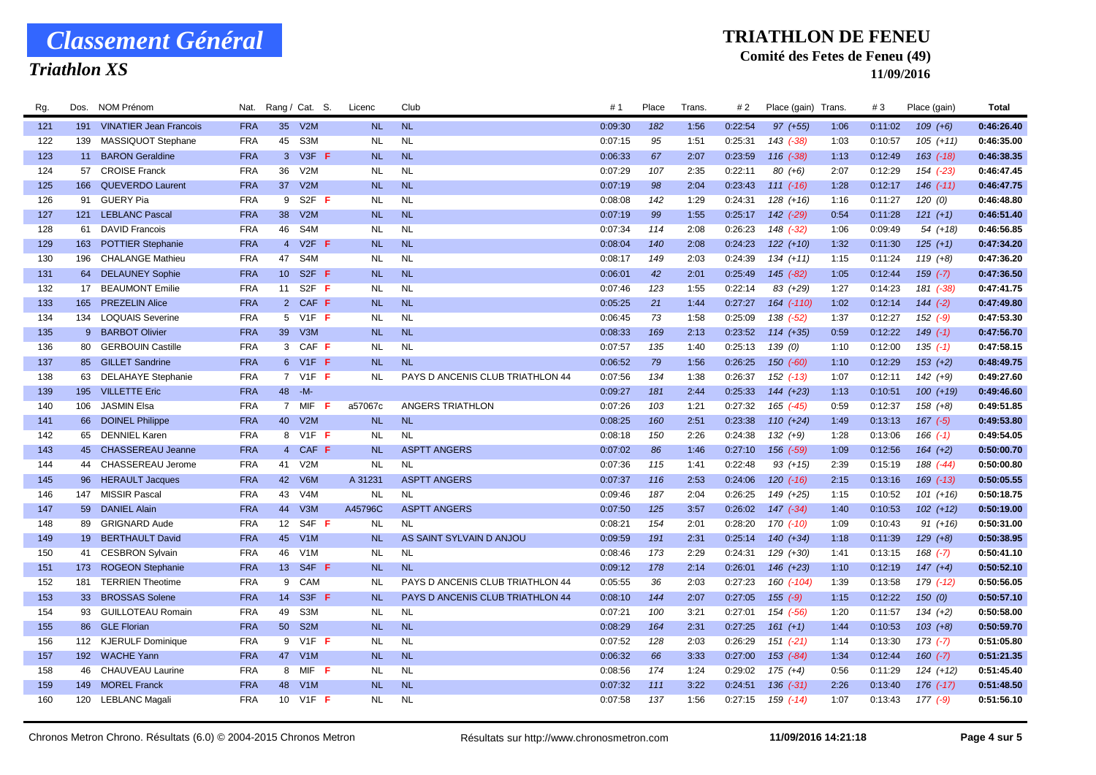## *Triathlon XS*

#### **TRIATHLON DE FENEU**

### **Comité des Fetes de Feneu (49)**

| Rg. | Dos. | NOM Prenom                 | Nat.       |                 | Rang / Cat. S.                | Licenc    | Club                             | #       | Place | Trans | # 2     | Place (gain)  | Trans | #3      | Place (gain   | Total      |
|-----|------|----------------------------|------------|-----------------|-------------------------------|-----------|----------------------------------|---------|-------|-------|---------|---------------|-------|---------|---------------|------------|
| 121 |      | 191 VINATIER Jean Francois | <b>FRA</b> | 35 <sup>5</sup> | V2M                           | <b>NL</b> | <b>NL</b>                        | 0:09:30 | 182   | 1:56  | 0:22:54 | $97 (+55)$    | 1:06  | 0:11:02 | $109 (+6)$    | 0:46:26.40 |
| 122 | 139  | MASSIQUOT Stephane         | <b>FRA</b> | 45              | S3M                           | <b>NL</b> | <b>NL</b>                        | 0:07:15 | 95    | 1:51  | 0:25:31 | 143 (-38)     | 1:03  | 0:10:57 | $105 (+11)$   | 0:46:35.00 |
| 123 |      | 11 BARON Geraldine         | <b>FRA</b> |                 | 3 V3F F                       | <b>NL</b> | <b>NL</b>                        | 0:06:33 | 67    | 2:07  | 0:23:59 | $116$ $(-38)$ | 1:13  | 0:12:49 | $163$ (-18)   | 0:46:38.35 |
| 124 | 57   | <b>CROISE Franck</b>       | <b>FRA</b> | 36              | V2M                           | <b>NL</b> | <b>NL</b>                        | 0:07:29 | 107   | 2:35  | 0:22:11 | $80 (+6)$     | 2:07  | 0:12:29 | 154 (-23)     | 0:46:47.45 |
| 125 | 166  | <b>QUEVERDO Laurent</b>    | <b>FRA</b> | 37              | V2M                           | <b>NL</b> | <b>NL</b>                        | 0:07:19 | 98    | 2:04  | 0:23:43 | $111 (-16)$   | 1:28  | 0:12:17 | $146$ $(-11)$ | 0:46:47.75 |
| 126 | 91   | <b>GUERY Pia</b>           | <b>FRA</b> | 9               | $S2F$ F                       | <b>NL</b> | <b>NL</b>                        | 0:08:08 | 142   | 1:29  | 0:24:31 | $128 (+16)$   | 1:16  | 0:11:27 | 120 (0)       | 0:46:48.80 |
| 127 |      | 121 LEBLANC Pascal         | <b>FRA</b> | 38              | V2M                           | <b>NL</b> | <b>NL</b>                        | 0:07:19 | 99    | 1:55  | 0:25:17 | 142 (-29)     | 0:54  | 0:11:28 | $121 (+1)$    | 0:46:51.40 |
| 128 | 61   | <b>DAVID Francois</b>      | <b>FRA</b> | 46              | S <sub>4</sub> M              | <b>NL</b> | <b>NL</b>                        | 0:07:34 | 114   | 2:08  | 0:26:23 | 148 (-32)     | 1:06  | 0:09:49 | $54(+18)$     | 0:46:56.85 |
| 129 | 163  | <b>POTTIER Stephanie</b>   | <b>FRA</b> | $\overline{4}$  | $V2F$ F                       | <b>NL</b> | NL                               | 0:08:04 | 140   | 2:08  | 0:24:23 | $122 (+10)$   | 1:32  | 0:11:30 | $125 (+1)$    | 0:47:34.20 |
| 130 | 196  | <b>CHALANGE Mathieu</b>    | <b>FRA</b> | 47              | S <sub>4</sub> M              | <b>NL</b> | <b>NL</b>                        | 0:08:17 | 149   | 2:03  | 0:24:39 | $134 (+11)$   | 1:15  | 0:11:24 | $119(+8)$     | 0:47:36.20 |
| 131 | 64   | <b>DELAUNEY Sophie</b>     | <b>FRA</b> | 10 <sup>°</sup> | S <sub>2F</sub> F             | <b>NL</b> | NL                               | 0:06:01 | 42    | 2:01  | 0:25:49 | $145$ $(-82)$ | 1:05  | 0:12:44 | $159$ $(-7)$  | 0:47:36.50 |
| 132 | 17   | <b>BEAUMONT Emilie</b>     | <b>FRA</b> | 11              | $S2F$ F                       | <b>NL</b> | <b>NL</b>                        | 0:07:46 | 123   | 1:55  | 0:22:14 | 83 (+29)      | 1:27  | 0:14:23 | 181 (-38)     | 0:47:41.75 |
| 133 |      | 165 PREZELIN Alice         | <b>FRA</b> |                 | 2 CAF F                       | <b>NL</b> | <b>NL</b>                        | 0:05:25 | 21    | 1:44  | 0:27:27 | 164 (-110)    | 1:02  | 0:12:14 | $144 (-2)$    | 0:47:49.80 |
| 134 | 134  | <b>LOQUAIS Severine</b>    | <b>FRA</b> |                 | 5 V1F F                       | <b>NL</b> | <b>NL</b>                        | 0:06:45 | 73    | 1:58  | 0:25:09 | $138$ $(-52)$ | 1:37  | 0:12:27 | $152$ (-9)    | 0:47:53.30 |
| 135 | -9   | <b>BARBOT Olivier</b>      | <b>FRA</b> | 39              | V <sub>3</sub> M              | <b>NL</b> | <b>NL</b>                        | 0:08:33 | 169   | 2:13  | 0:23:52 | $114 (+35)$   | 0:59  | 0:12:22 | $149(-1)$     | 0:47:56.70 |
| 136 | 80   | <b>GERBOUIN Castille</b>   | <b>FRA</b> |                 | 3 CAF F                       | <b>NL</b> | <b>NL</b>                        | 0:07:57 | 135   | 1:40  | 0:25:13 | 139(0)        | 1:10  | 0:12:00 | $135$ (-1)    | 0:47:58.15 |
| 137 | 85   | <b>GILLET Sandrine</b>     | <b>FRA</b> |                 | 6 V1F F                       | <b>NL</b> | <b>NL</b>                        | 0:06:52 | 79    | 1:56  | 0:26:25 | $150(-60)$    | 1:10  | 0:12:29 | $153 (+2)$    | 0:48:49.75 |
| 138 | 63   | <b>DELAHAYE Stephanie</b>  | <b>FRA</b> |                 | 7 V1F F                       | <b>NL</b> | PAYS D ANCENIS CLUB TRIATHLON 44 | 0:07:56 | 134   | 1:38  | 0:26:37 | $152$ $(-13)$ | 1:07  | 0:12:11 | $142 (+9)$    | 0:49:27.60 |
| 139 |      | 195 VILLETTE Eric          | <b>FRA</b> |                 | 48 - M-                       |           |                                  | 0:09:27 | 181   | 2:44  | 0:25:33 | $144 (+23)$   | 1:13  | 0:10:51 | $100 (+19)$   | 0:49:46.60 |
| 140 | 106  | <b>JASMIN Elsa</b>         | <b>FRA</b> |                 | 7 MIF<br>-F.                  | a57067c   | <b>ANGERS TRIATHLON</b>          | 0:07:26 | 103   | 1:21  | 0:27:32 | $165$ $(-45)$ | 0:59  | 0:12:37 | $158(+8)$     | 0:49:51.85 |
| 141 | 66   | <b>DOINEL Philippe</b>     | <b>FRA</b> | 40              | V2M                           | <b>NL</b> | <b>NL</b>                        | 0:08:25 | 160   | 2:51  | 0:23:38 | $110 (+24)$   | 1:49  | 0:13:13 | $167$ (-5)    | 0:49:53.80 |
| 142 | 65   | <b>DENNIEL Karen</b>       | <b>FRA</b> |                 | 8 V1F F                       | <b>NL</b> | <b>NL</b>                        | 0:08:18 | 150   | 2:26  | 0:24:38 | $132 (+9)$    | 1:28  | 0:13:06 | $166$ $(-1)$  | 0:49:54.05 |
| 143 | 45   | <b>CHASSEREAU Jeanne</b>   | <b>FRA</b> |                 | 4 CAF F                       | <b>NL</b> | <b>ASPTT ANGERS</b>              | 0:07:02 | 86    | 1:46  | 0:27:10 | 156 (-59)     | 1:09  | 0:12:56 | $164 (+2)$    | 0:50:00.70 |
| 144 | 44   | CHASSEREAU Jerome          | <b>FRA</b> | 41              | V2M                           | <b>NL</b> | <b>NL</b>                        | 0:07:36 | 115   | 1:41  | 0:22:48 | $93 (+15)$    | 2:39  | 0:15:19 | 188 (-44)     | 0:50:00.80 |
| 145 | 96   | <b>HERAULT Jacques</b>     | <b>FRA</b> | 42              | V6M                           | A 31231   | <b>ASPTT ANGERS</b>              | 0:07:37 | 116   | 2:53  | 0:24:06 | $120(-16)$    | 2:15  | 0:13:16 | $169$ $(-13)$ | 0:50:05.55 |
| 146 | 147  | <b>MISSIR Pascal</b>       | <b>FRA</b> | 43              | V <sub>4</sub> M              | <b>NL</b> | <b>NL</b>                        | 0:09:46 | 187   | 2:04  | 0:26:25 | 149 (+25)     | 1:15  | 0:10:52 | $101 (+16)$   | 0:50:18.75 |
| 147 | 59   | <b>DANIEL Alain</b>        | <b>FRA</b> | 44              | V3M                           | A45796C   | <b>ASPTT ANGERS</b>              | 0:07:50 | 125   | 3:57  | 0:26:02 | $147$ $(-34)$ | 1:40  | 0:10:53 | $102 (+12)$   | 0:50:19.00 |
| 148 | 89   | <b>GRIGNARD Aude</b>       | <b>FRA</b> | 12              | S <sub>4</sub> F <sub>F</sub> | <b>NL</b> | <b>NL</b>                        | 0:08:21 | 154   | 2:01  | 0:28:20 | $170(-10)$    | 1:09  | 0:10:43 | $91 (+16)$    | 0:50:31.00 |
| 149 |      | 19 BERTHAULT David         | <b>FRA</b> | 45              | V1M                           | <b>NL</b> | AS SAINT SYLVAIN D ANJOU         | 0:09:59 | 191   | 2:31  | 0:25:14 | $140 (+34)$   | 1:18  | 0:11:39 | $129 (+8)$    | 0:50:38.95 |
| 150 | 41   | <b>CESBRON Sylvain</b>     | <b>FRA</b> | 46              | V1M                           | <b>NL</b> | <b>NL</b>                        | 0:08:46 | 173   | 2:29  | 0:24:31 | 129 (+30)     | 1:41  | 0:13:15 | $168$ (-7)    | 0:50:41.10 |
| 151 | 173  | <b>ROGEON Stephanie</b>    | <b>FRA</b> | 13 <sup>7</sup> | S <sub>4F</sub> F             | <b>NL</b> | <b>NL</b>                        | 0:09:12 | 178   | 2:14  | 0:26:01 | $146 (+23)$   | 1:10  | 0:12:19 | $147 (+4)$    | 0:50:52.10 |
| 152 | 181  | <b>TERRIEN Theotime</b>    | <b>FRA</b> | 9               | CAM                           | <b>NL</b> | PAYS D ANCENIS CLUB TRIATHLON 44 | 0:05:55 | 36    | 2:03  | 0:27:23 | 160 (-104)    | 1:39  | 0:13:58 | 179 (-12)     | 0:50:56.05 |
| 153 | 33   | <b>BROSSAS Solene</b>      | <b>FRA</b> | 14              | S3F F                         | <b>NL</b> | PAYS D ANCENIS CLUB TRIATHLON 44 | 0:08:10 | 144   | 2:07  | 0:27:05 | $155 (-9)$    | 1:15  | 0:12:22 | 150(0)        | 0:50:57.10 |
| 154 | 93   | <b>GUILLOTEAU Romain</b>   | <b>FRA</b> | 49              | S3M                           | <b>NL</b> | <b>NL</b>                        | 0:07:21 | 100   | 3:21  | 0:27:01 | 154 (-56)     | 1:20  | 0:11:57 | $134 (+2)$    | 0:50:58.00 |
| 155 | 86   | <b>GLE Florian</b>         | <b>FRA</b> | 50 <sup>°</sup> | S <sub>2</sub> M              | <b>NL</b> | <b>NL</b>                        | 0:08:29 | 164   | 2:31  | 0:27:25 | $161 (+1)$    | 1:44  | 0:10:53 | $103 (+8)$    | 0:50:59.70 |
| 156 |      | 112 KJERULF Dominique      | <b>FRA</b> |                 | 9 V1F F                       | <b>NL</b> | <b>NL</b>                        | 0:07:52 | 128   | 2:03  | 0:26:29 | $151$ $(-21)$ | 1:14  | 0:13:30 | $173(-7)$     | 0:51:05.80 |
| 157 |      | 192 WACHE Yann             | <b>FRA</b> | 47              | V1M                           | <b>NL</b> | <b>NL</b>                        | 0:06:32 | 66    | 3:33  | 0:27:00 | $153 (-84)$   | 1:34  | 0:12:44 | $160(-7)$     | 0:51:21.35 |
| 158 | 46   | <b>CHAUVEAU Laurine</b>    | <b>FRA</b> | 8               | MIF F                         | <b>NL</b> | <b>NL</b>                        | 0:08:56 | 174   | 1:24  | 0:29:02 | $175 (+4)$    | 0:56  | 0:11:29 | $124 (+12)$   | 0:51:45.40 |
| 159 |      | 149 MOREL Franck           | <b>FRA</b> | 48              | V1M                           | <b>NL</b> | NL                               | 0:07:32 | 111   | 3:22  | 0:24:51 | $136$ $(-31)$ | 2:26  | 0:13:40 | $176$ $(-17)$ | 0:51:48.50 |
| 160 |      | 120 LEBLANC Magali         | <b>FRA</b> |                 | 10 V1F F                      | <b>NL</b> | <b>NL</b>                        | 0:07:58 | 137   | 1:56  | 0:27:15 | 159 (-14)     | 1:07  | 0:13:43 | $177(-9)$     | 0:51:56.10 |
|     |      |                            |            |                 |                               |           |                                  |         |       |       |         |               |       |         |               |            |